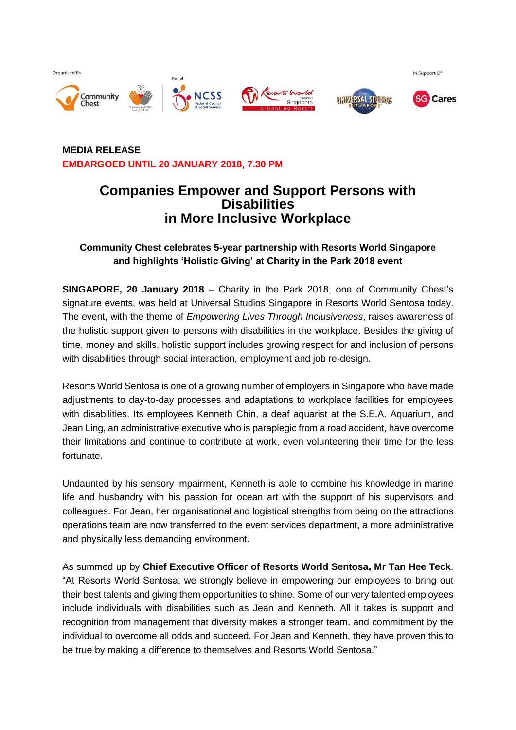Organised By









In Support Of

## **MEDIA RELEASE EMBARGOED UNTIL 20 JANUARY 2018, 7.30 PM**

# **Companies Empower and Support Persons with Disabilities in More Inclusive Workplace**

# **Community Chest celebrates 5-year partnership with Resorts World Singapore and highlights 'Holistic Giving' at Charity in the Park 2018 event**

**SINGAPORE, 20 January 2018** – Charity in the Park 2018, one of Community Chest's signature events, was held at Universal Studios Singapore in Resorts World Sentosa today. The event, with the theme of *Empowering Lives Through Inclusiveness*, raises awareness of the holistic support given to persons with disabilities in the workplace. Besides the giving of time, money and skills, holistic support includes growing respect for and inclusion of persons with disabilities through social interaction, employment and job re-design.

Resorts World Sentosa is one of a growing number of employers in Singapore who have made adjustments to day-to-day processes and adaptations to workplace facilities for employees with disabilities. Its employees Kenneth Chin, a deaf aquarist at the S.E.A. Aquarium, and Jean Ling, an administrative executive who is paraplegic from a road accident, have overcome their limitations and continue to contribute at work, even volunteering their time for the less fortunate.

Undaunted by his sensory impairment, Kenneth is able to combine his knowledge in marine life and husbandry with his passion for ocean art with the support of his supervisors and colleagues. For Jean, her organisational and logistical strengths from being on the attractions operations team are now transferred to the event services department, a more administrative and physically less demanding environment.

As summed up by **Chief Executive Officer of Resorts World Sentosa, Mr Tan Hee Teck**, "At Resorts World Sentosa, we strongly believe in empowering our employees to bring out their best talents and giving them opportunities to shine. Some of our very talented employees include individuals with disabilities such as Jean and Kenneth. All it takes is support and recognition from management that diversity makes a stronger team, and commitment by the individual to overcome all odds and succeed. For Jean and Kenneth, they have proven this to be true by making a difference to themselves and Resorts World Sentosa."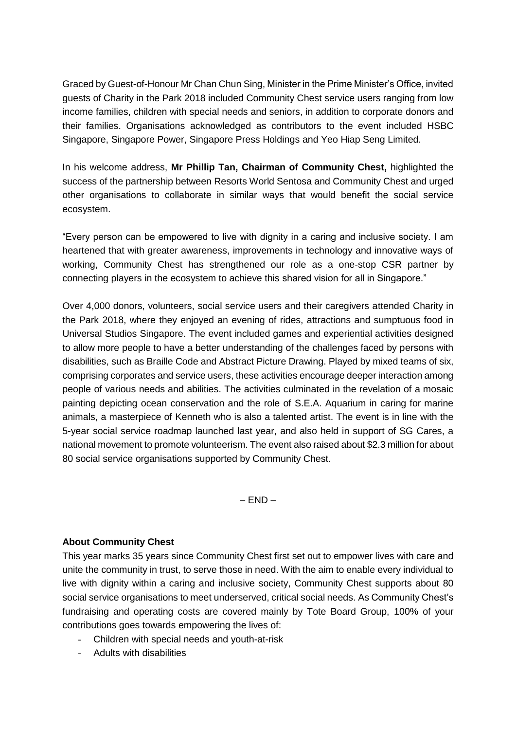Graced by Guest-of-Honour Mr Chan Chun Sing, Minister in the Prime Minister's Office, invited guests of Charity in the Park 2018 included Community Chest service users ranging from low income families, children with special needs and seniors, in addition to corporate donors and their families. Organisations acknowledged as contributors to the event included HSBC Singapore, Singapore Power, Singapore Press Holdings and Yeo Hiap Seng Limited.

In his welcome address, **Mr Phillip Tan, Chairman of Community Chest,** highlighted the success of the partnership between Resorts World Sentosa and Community Chest and urged other organisations to collaborate in similar ways that would benefit the social service ecosystem.

"Every person can be empowered to live with dignity in a caring and inclusive society. I am heartened that with greater awareness, improvements in technology and innovative ways of working, Community Chest has strengthened our role as a one-stop CSR partner by connecting players in the ecosystem to achieve this shared vision for all in Singapore."

Over 4,000 donors, volunteers, social service users and their caregivers attended Charity in the Park 2018, where they enjoyed an evening of rides, attractions and sumptuous food in Universal Studios Singapore. The event included games and experiential activities designed to allow more people to have a better understanding of the challenges faced by persons with disabilities, such as Braille Code and Abstract Picture Drawing. Played by mixed teams of six, comprising corporates and service users, these activities encourage deeper interaction among people of various needs and abilities. The activities culminated in the revelation of a mosaic painting depicting ocean conservation and the role of S.E.A. Aquarium in caring for marine animals, a masterpiece of Kenneth who is also a talented artist. The event is in line with the 5-year social service roadmap launched last year, and also held in support of SG Cares, a national movement to promote volunteerism. The event also raised about \$2.3 million for about 80 social service organisations supported by Community Chest.

 $-$  FND  $-$ 

#### **About Community Chest**

This year marks 35 years since Community Chest first set out to empower lives with care and unite the community in trust, to serve those in need. With the aim to enable every individual to live with dignity within a caring and inclusive society, Community Chest supports about 80 social service organisations to meet underserved, critical social needs. As Community Chest's fundraising and operating costs are covered mainly by Tote Board Group, 100% of your contributions goes towards empowering the lives of:

- Children with special needs and youth-at-risk
- Adults with disabilities